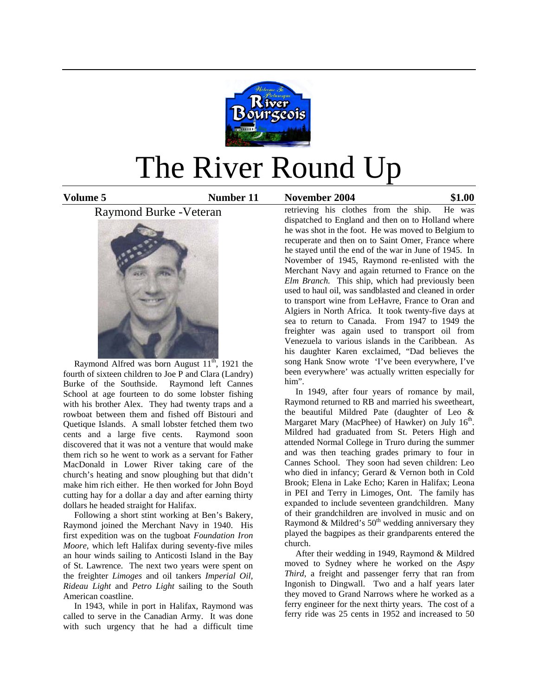

# The River Round Up

**Volume 5 Number 11 November 2004 \$1.00**

# Raymond Burke -Veteran



Raymond Alfred was born August  $11^{th}$ , 1921 the fourth of sixteen children to Joe P and Clara (Landry) Burke of the Southside. Raymond left Cannes School at age fourteen to do some lobster fishing with his brother Alex. They had twenty traps and a rowboat between them and fished off Bistouri and Quetique Islands. A small lobster fetched them two cents and a large five cents. Raymond soon discovered that it was not a venture that would make them rich so he went to work as a servant for Father MacDonald in Lower River taking care of the church's heating and snow ploughing but that didn't make him rich either. He then worked for John Boyd cutting hay for a dollar a day and after earning thirty dollars he headed straight for Halifax.

 Following a short stint working at Ben's Bakery, Raymond joined the Merchant Navy in 1940. His first expedition was on the tugboat *Foundation Iron Moore,* which left Halifax during seventy-five miles an hour winds sailing to Anticosti Island in the Bay of St. Lawrence. The next two years were spent on the freighter *Limoges* and oil tankers *Imperial Oil, Rideau Light* and *Petro Light* sailing to the South American coastline.

 In 1943, while in port in Halifax, Raymond was called to serve in the Canadian Army. It was done with such urgency that he had a difficult time

retrieving his clothes from the ship. He was dispatched to England and then on to Holland where he was shot in the foot. He was moved to Belgium to recuperate and then on to Saint Omer, France where he stayed until the end of the war in June of 1945. In November of 1945, Raymond re-enlisted with the Merchant Navy and again returned to France on the *Elm Branch.* This ship, which had previously been used to haul oil, was sandblasted and cleaned in order to transport wine from LeHavre, France to Oran and Algiers in North Africa. It took twenty-five days at sea to return to Canada. From 1947 to 1949 the freighter was again used to transport oil from Venezuela to various islands in the Caribbean. As his daughter Karen exclaimed, "Dad believes the song Hank Snow wrote 'I've been everywhere, I've been everywhere' was actually written especially for him".

 In 1949, after four years of romance by mail, Raymond returned to RB and married his sweetheart, the beautiful Mildred Pate (daughter of Leo & Margaret Mary (MacPhee) of Hawker) on July 16<sup>th</sup>. Mildred had graduated from St. Peters High and attended Normal College in Truro during the summer and was then teaching grades primary to four in Cannes School. They soon had seven children: Leo who died in infancy; Gerard & Vernon both in Cold Brook; Elena in Lake Echo; Karen in Halifax; Leona in PEI and Terry in Limoges, Ont. The family has expanded to include seventeen grandchildren. Many of their grandchildren are involved in music and on Raymond & Mildred's  $50<sup>th</sup>$  wedding anniversary they played the bagpipes as their grandparents entered the church.

 After their wedding in 1949, Raymond & Mildred moved to Sydney where he worked on the *Aspy Third*, a freight and passenger ferry that ran from Ingonish to Dingwall. Two and a half years later they moved to Grand Narrows where he worked as a ferry engineer for the next thirty years. The cost of a ferry ride was 25 cents in 1952 and increased to 50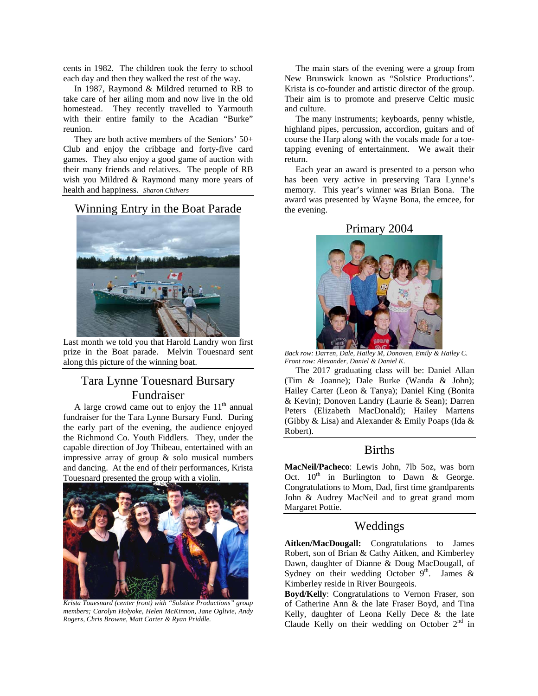cents in 1982. The children took the ferry to school each day and then they walked the rest of the way.

 In 1987, Raymond & Mildred returned to RB to take care of her ailing mom and now live in the old homestead. They recently travelled to Yarmouth with their entire family to the Acadian "Burke" reunion.

 They are both active members of the Seniors' 50+ Club and enjoy the cribbage and forty-five card games. They also enjoy a good game of auction with their many friends and relatives. The people of RB wish you Mildred & Raymond many more years of health and happiness. *Sharon Chilvers* 

## Winning Entry in the Boat Parade



Last month we told you that Harold Landry won first prize in the Boat parade. Melvin Touesnard sent along this picture of the winning boat.

# Tara Lynne Touesnard Bursary Fundraiser

A large crowd came out to enjoy the  $11<sup>th</sup>$  annual fundraiser for the Tara Lynne Bursary Fund. During the early part of the evening, the audience enjoyed the Richmond Co. Youth Fiddlers. They, under the capable direction of Joy Thibeau, entertained with an impressive array of group & solo musical numbers and dancing. At the end of their performances, Krista Touesnard presented the group with a violin.



*Krista Touesnard (center front) with "Solstice Productions" group members; Carolyn Holyoke, Helen McKinnon, Jane Oglivie, Andy Rogers, Chris Browne, Matt Carter & Ryan Priddle.* 

 The main stars of the evening were a group from New Brunswick known as "Solstice Productions". Krista is co-founder and artistic director of the group. Their aim is to promote and preserve Celtic music and culture.

 The many instruments; keyboards, penny whistle, highland pipes, percussion, accordion, guitars and of course the Harp along with the vocals made for a toetapping evening of entertainment. We await their return.

 Each year an award is presented to a person who has been very active in preserving Tara Lynne's memory. This year's winner was Brian Bona. The award was presented by Wayne Bona, the emcee, for the evening.

#### Primary 2004



*Back row: Darren, Dale, Hailey M, Donoven, Emily & Hailey C. Front row: Alexander, Daniel & Daniel K*.

 The 2017 graduating class will be: Daniel Allan (Tim & Joanne); Dale Burke (Wanda & John); Hailey Carter (Leon & Tanya); Daniel King (Bonita & Kevin); Donoven Landry (Laurie & Sean); Darren Peters (Elizabeth MacDonald); Hailey Martens (Gibby & Lisa) and Alexander & Emily Poaps (Ida & Robert).

# Births

**MacNeil/Pacheco**: Lewis John, 7lb 5oz, was born Oct.  $10^{th}$  in Burlington to Dawn & George. Congratulations to Mom, Dad, first time grandparents John & Audrey MacNeil and to great grand mom Margaret Pottie.

# Weddings

**Aitken/MacDougall:** Congratulations to James Robert, son of Brian & Cathy Aitken, and Kimberley Dawn, daughter of Dianne & Doug MacDougall, of Sydney on their wedding October  $9<sup>th</sup>$ . James & Kimberley reside in River Bourgeois.

**Boyd/Kelly**: Congratulations to Vernon Fraser, son of Catherine Ann & the late Fraser Boyd, and Tina Kelly, daughter of Leona Kelly Dece & the late Claude Kelly on their wedding on October  $2<sup>nd</sup>$  in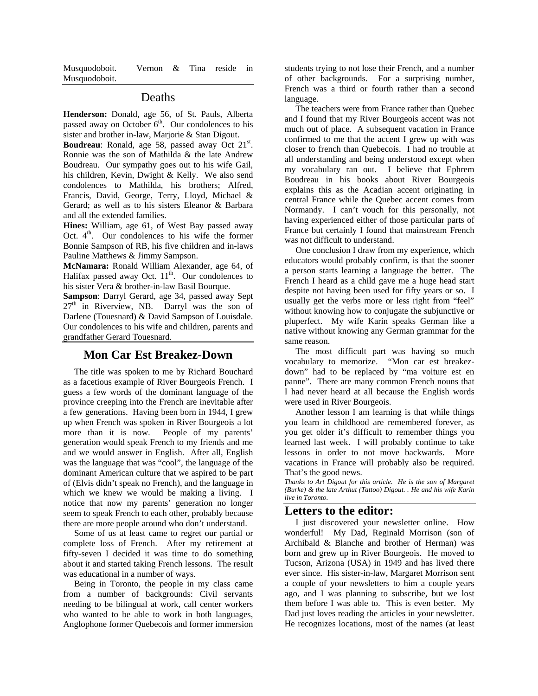Musquodoboit. Vernon & Tina reside in Musquodoboit.

#### Deaths

**Henderson:** Donald, age 56, of St. Pauls, Alberta passed away on October  $6<sup>th</sup>$ . Our condolences to his sister and brother in-law, Marjorie & Stan Digout.

Boudreau: Ronald, age 58, passed away Oct 21<sup>st</sup>. Ronnie was the son of Mathilda & the late Andrew Boudreau. Our sympathy goes out to his wife Gail, his children, Kevin, Dwight & Kelly. We also send condolences to Mathilda, his brothers; Alfred, Francis, David, George, Terry, Lloyd, Michael & Gerard; as well as to his sisters Eleanor & Barbara and all the extended families.

**Hines:** William, age 61, of West Bay passed away Oct.  $4<sup>th</sup>$ . Our condolences to his wife the former Bonnie Sampson of RB, his five children and in-laws Pauline Matthews & Jimmy Sampson.

**McNamara:** Ronald William Alexander, age 64, of Halifax passed away Oct.  $11<sup>th</sup>$ . Our condolences to his sister Vera & brother-in-law Basil Bourque.

**Sampson**: Darryl Gerard, age 34, passed away Sept  $27<sup>th</sup>$  in Riverview, NB. Darryl was the son of Darlene (Touesnard) & David Sampson of Louisdale. Our condolences to his wife and children, parents and grandfather Gerard Touesnard.

#### **Mon Car Est Breakez-Down**

 The title was spoken to me by Richard Bouchard as a facetious example of River Bourgeois French. I guess a few words of the dominant language of the province creeping into the French are inevitable after a few generations. Having been born in 1944, I grew up when French was spoken in River Bourgeois a lot more than it is now. People of my parents' generation would speak French to my friends and me and we would answer in English. After all, English was the language that was "cool", the language of the dominant American culture that we aspired to be part of (Elvis didn't speak no French), and the language in which we knew we would be making a living. I notice that now my parents' generation no longer seem to speak French to each other, probably because there are more people around who don't understand.

 Some of us at least came to regret our partial or complete loss of French. After my retirement at fifty-seven I decided it was time to do something about it and started taking French lessons. The result was educational in a number of ways.

 Being in Toronto, the people in my class came from a number of backgrounds: Civil servants needing to be bilingual at work, call center workers who wanted to be able to work in both languages, Anglophone former Quebecois and former immersion students trying to not lose their French, and a number of other backgrounds. For a surprising number, French was a third or fourth rather than a second language.

 The teachers were from France rather than Quebec and I found that my River Bourgeois accent was not much out of place. A subsequent vacation in France confirmed to me that the accent I grew up with was closer to french than Quebecois. I had no trouble at all understanding and being understood except when my vocabulary ran out. I believe that Ephrem Boudreau in his books about River Bourgeois explains this as the Acadian accent originating in central France while the Quebec accent comes from Normandy. I can't vouch for this personally, not having experienced either of those particular parts of France but certainly I found that mainstream French was not difficult to understand.

 One conclusion I draw from my experience, which educators would probably confirm, is that the sooner a person starts learning a language the better. The French I heard as a child gave me a huge head start despite not having been used for fifty years or so. I usually get the verbs more or less right from "feel" without knowing how to conjugate the subjunctive or pluperfect. My wife Karin speaks German like a native without knowing any German grammar for the same reason.

 The most difficult part was having so much vocabulary to memorize. "Mon car est breakezdown" had to be replaced by "ma voiture est en panne". There are many common French nouns that I had never heard at all because the English words were used in River Bourgeois.

 Another lesson I am learning is that while things you learn in childhood are remembered forever, as you get older it's difficult to remember things you learned last week. I will probably continue to take lessons in order to not move backwards. More vacations in France will probably also be required. That's the good news.

*Thanks to Art Digout for this article. He is the son of Margaret (Burke) & the late Arthut (Tattoo) Digout. . He and his wife Karin live in Toronto.* 

### **Letters to the editor:**

 I just discovered your newsletter online. How wonderful! My Dad, Reginald Morrison (son of Archibald & Blanche and brother of Herman) was born and grew up in River Bourgeois. He moved to Tucson, Arizona (USA) in 1949 and has lived there ever since. His sister-in-law, Margaret Morrison sent a couple of your newsletters to him a couple years ago, and I was planning to subscribe, but we lost them before I was able to. This is even better. My Dad just loves reading the articles in your newsletter. He recognizes locations, most of the names (at least